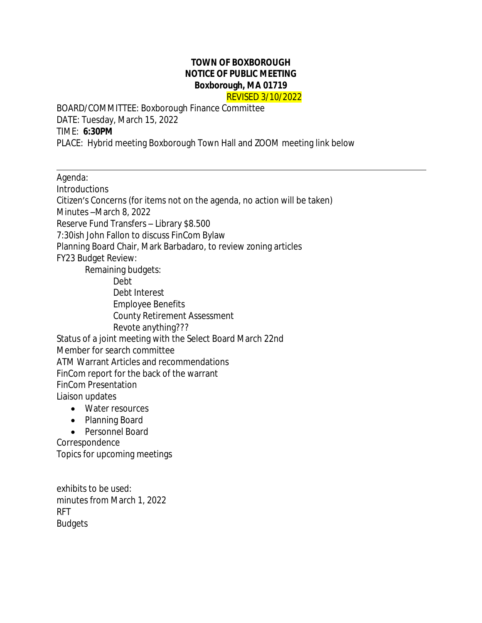## **TOWN OF BOXBOROUGH NOTICE OF PUBLIC MEETING Boxborough, MA 01719** REVISED 3/10/2022

BOARD/COMMITTEE: Boxborough Finance Committee DATE: Tuesday, March 15, 2022 TIME: **6:30PM** PLACE: Hybrid meeting Boxborough Town Hall and ZOOM meeting link below

Agenda:

 $\overline{a}$ 

**Introductions** 

Citizen's Concerns (for items not on the agenda, no action will be taken) Minutes –March 8, 2022 Reserve Fund Transfers – Library \$8.500 7:30ish John Fallon to discuss FinCom Bylaw Planning Board Chair, Mark Barbadaro, to review zoning articles FY23 Budget Review: Remaining budgets:

Debt Debt Interest Employee Benefits County Retirement Assessment Revote anything??? Status of a joint meeting with the Select Board March 22nd Member for search committee ATM Warrant Articles and recommendations FinCom report for the back of the warrant FinCom Presentation Liaison updates

- Water resources
- Planning Board
- Personnel Board

**Correspondence** Topics for upcoming meetings

exhibits to be used: minutes from March 1, 2022 RFT **Budgets**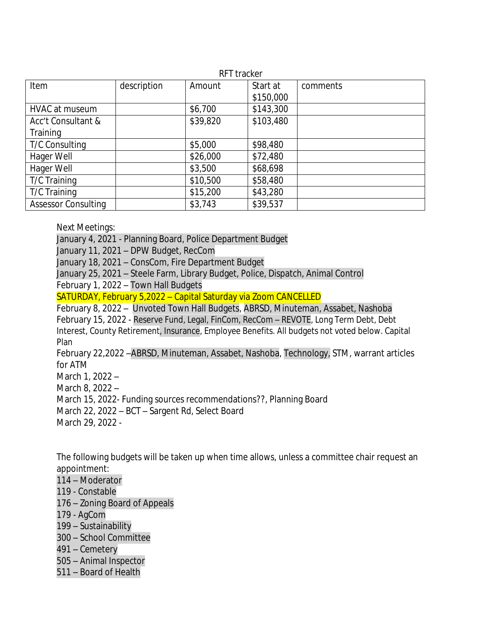| RFT tracker                |             |          |           |          |
|----------------------------|-------------|----------|-----------|----------|
| Item                       | description | Amount   | Start at  | comments |
|                            |             |          | \$150,000 |          |
| <b>HVAC at museum</b>      |             | \$6,700  | \$143,300 |          |
| Acc't Consultant &         |             | \$39,820 | \$103,480 |          |
| Training                   |             |          |           |          |
| T/C Consulting             |             | \$5,000  | \$98,480  |          |
| Hager Well                 |             | \$26,000 | \$72,480  |          |
| Hager Well                 |             | \$3,500  | \$68,698  |          |
| T/C Training               |             | \$10,500 | \$58,480  |          |
| T/C Training               |             | \$15,200 | \$43,280  |          |
| <b>Assessor Consulting</b> |             | \$3,743  | \$39,537  |          |

Next Meetings:

January 4, 2021 - Planning Board, Police Department Budget

January 11, 2021 – DPW Budget, RecCom

January 18, 2021 – ConsCom, Fire Department Budget

January 25, 2021 – Steele Farm, Library Budget, Police, Dispatch, Animal Control February 1, 2022 – Town Hall Budgets

SATURDAY, February 5,2022 – Capital Saturday via Zoom CANCELLED

February 8, 2022 – Unvoted Town Hall Budgets, ABRSD, Minuteman, Assabet, Nashoba

February 15, 2022 - Reserve Fund, Legal, FinCom, RecCom – REVOTE, Long Term Debt, Debt Interest, County Retirement, Insurance, Employee Benefits. All budgets not voted below. Capital Plan

February 22,2022 –ABRSD, Minuteman, Assabet, Nashoba, Technology, STM, warrant articles for ATM

March 1, 2022 –

March 8, 2022 –

March 15, 2022- Funding sources recommendations??, Planning Board

March 22, 2022 – BCT – Sargent Rd, Select Board

March 29, 2022 -

The following budgets will be taken up when time allows, unless a committee chair request an appointment:

- 114 Moderator 119 - Constable
- 176 Zoning Board of Appeals
- 179 AgCom
- 199 Sustainability
- 300 School Committee
- 491 Cemetery
- 505 Animal Inspector
- 511 Board of Health